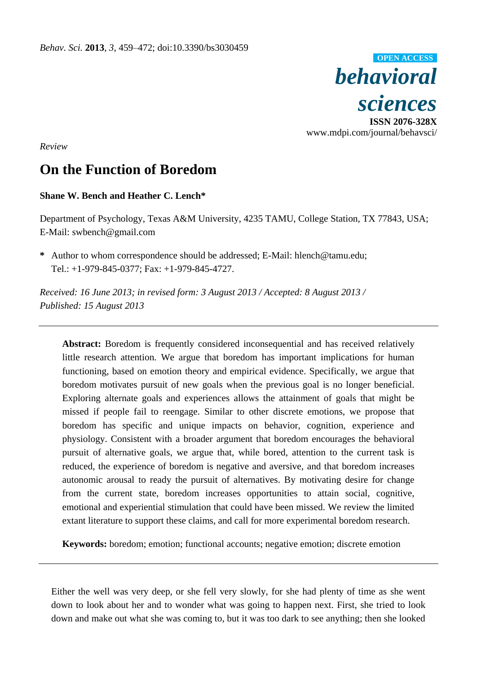

*Review*

# **On the Function of Boredom**

# **Shane W. Bench and Heather C. Lench\***

Department of Psychology, Texas A&M University, 4235 TAMU, College Station, TX 77843, USA; E-Mail: swbench@gmail.com

**\*** Author to whom correspondence should be addressed; E-Mail: hlench@tamu.edu; Tel.: +1-979-845-0377; Fax: +1-979-845-4727.

*Received: 16 June 2013; in revised form: 3 August 2013 / Accepted: 8 August 2013 / Published: 15 August 2013*

**Abstract:** Boredom is frequently considered inconsequential and has received relatively little research attention. We argue that boredom has important implications for human functioning, based on emotion theory and empirical evidence. Specifically, we argue that boredom motivates pursuit of new goals when the previous goal is no longer beneficial. Exploring alternate goals and experiences allows the attainment of goals that might be missed if people fail to reengage. Similar to other discrete emotions, we propose that boredom has specific and unique impacts on behavior, cognition, experience and physiology. Consistent with a broader argument that boredom encourages the behavioral pursuit of alternative goals, we argue that, while bored, attention to the current task is reduced, the experience of boredom is negative and aversive, and that boredom increases autonomic arousal to ready the pursuit of alternatives. By motivating desire for change from the current state, boredom increases opportunities to attain social, cognitive, emotional and experiential stimulation that could have been missed. We review the limited extant literature to support these claims, and call for more experimental boredom research.

**Keywords:** boredom; emotion; functional accounts; negative emotion; discrete emotion

Either the well was very deep, or she fell very slowly, for she had plenty of time as she went down to look about her and to wonder what was going to happen next. First, she tried to look down and make out what she was coming to, but it was too dark to see anything; then she looked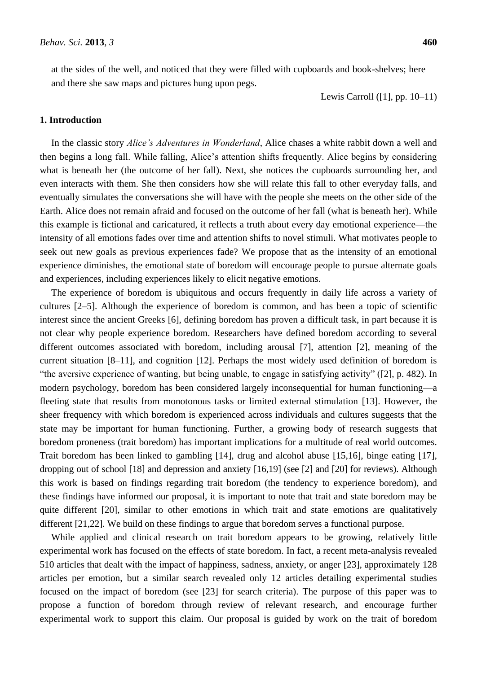at the sides of the well, and noticed that they were filled with cupboards and book-shelves; here and there she saw maps and pictures hung upon pegs.

Lewis Carroll ([1], pp. 10–11)

# **1. Introduction**

In the classic story *Alice's Adventures in Wonderland*, Alice chases a white rabbit down a well and then begins a long fall. While falling, Alice's attention shifts frequently. Alice begins by considering what is beneath her (the outcome of her fall). Next, she notices the cupboards surrounding her, and even interacts with them. She then considers how she will relate this fall to other everyday falls, and eventually simulates the conversations she will have with the people she meets on the other side of the Earth. Alice does not remain afraid and focused on the outcome of her fall (what is beneath her). While this example is fictional and caricatured, it reflects a truth about every day emotional experience—the intensity of all emotions fades over time and attention shifts to novel stimuli. What motivates people to seek out new goals as previous experiences fade? We propose that as the intensity of an emotional experience diminishes, the emotional state of boredom will encourage people to pursue alternate goals and experiences, including experiences likely to elicit negative emotions.

The experience of boredom is ubiquitous and occurs frequently in daily life across a variety of cultures [2–5]. Although the experience of boredom is common, and has been a topic of scientific interest since the ancient Greeks [6], defining boredom has proven a difficult task, in part because it is not clear why people experience boredom. Researchers have defined boredom according to several different outcomes associated with boredom, including arousal [7], attention [2], meaning of the current situation [8–11], and cognition [12]. Perhaps the most widely used definition of boredom is "the aversive experience of wanting, but being unable, to engage in satisfying activity" ([2], p. 482). In modern psychology, boredom has been considered largely inconsequential for human functioning—a fleeting state that results from monotonous tasks or limited external stimulation [13]. However, the sheer frequency with which boredom is experienced across individuals and cultures suggests that the state may be important for human functioning. Further, a growing body of research suggests that boredom proneness (trait boredom) has important implications for a multitude of real world outcomes. Trait boredom has been linked to gambling [14], drug and alcohol abuse [15,16], binge eating [17], dropping out of school [18] and depression and anxiety [16,19] (see [2] and [20] for reviews). Although this work is based on findings regarding trait boredom (the tendency to experience boredom), and these findings have informed our proposal, it is important to note that trait and state boredom may be quite different [20], similar to other emotions in which trait and state emotions are qualitatively different [21,22]. We build on these findings to argue that boredom serves a functional purpose.

While applied and clinical research on trait boredom appears to be growing, relatively little experimental work has focused on the effects of state boredom. In fact, a recent meta-analysis revealed 510 articles that dealt with the impact of happiness, sadness, anxiety, or anger [23], approximately 128 articles per emotion, but a similar search revealed only 12 articles detailing experimental studies focused on the impact of boredom (see [23] for search criteria). The purpose of this paper was to propose a function of boredom through review of relevant research, and encourage further experimental work to support this claim. Our proposal is guided by work on the trait of boredom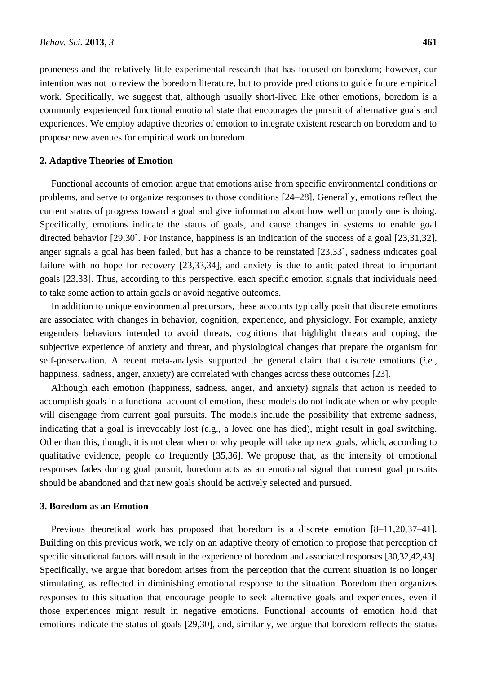proneness and the relatively little experimental research that has focused on boredom; however, our intention was not to review the boredom literature, but to provide predictions to guide future empirical work. Specifically, we suggest that, although usually short-lived like other emotions, boredom is a commonly experienced functional emotional state that encourages the pursuit of alternative goals and experiences. We employ adaptive theories of emotion to integrate existent research on boredom and to propose new avenues for empirical work on boredom.

#### **2. Adaptive Theories of Emotion**

Functional accounts of emotion argue that emotions arise from specific environmental conditions or problems, and serve to organize responses to those conditions [24–28]. Generally, emotions reflect the current status of progress toward a goal and give information about how well or poorly one is doing. Specifically, emotions indicate the status of goals, and cause changes in systems to enable goal directed behavior [29,30]. For instance, happiness is an indication of the success of a goal [23,31,32], anger signals a goal has been failed, but has a chance to be reinstated [23,33], sadness indicates goal failure with no hope for recovery [23,33,34], and anxiety is due to anticipated threat to important goals [23,33]. Thus, according to this perspective, each specific emotion signals that individuals need to take some action to attain goals or avoid negative outcomes.

In addition to unique environmental precursors, these accounts typically posit that discrete emotions are associated with changes in behavior, cognition, experience, and physiology. For example, anxiety engenders behaviors intended to avoid threats, cognitions that highlight threats and coping, the subjective experience of anxiety and threat, and physiological changes that prepare the organism for self-preservation. A recent meta-analysis supported the general claim that discrete emotions (*i.e.*, happiness, sadness, anger, anxiety) are correlated with changes across these outcomes [23].

Although each emotion (happiness, sadness, anger, and anxiety) signals that action is needed to accomplish goals in a functional account of emotion, these models do not indicate when or why people will disengage from current goal pursuits. The models include the possibility that extreme sadness, indicating that a goal is irrevocably lost (e.g., a loved one has died), might result in goal switching. Other than this, though, it is not clear when or why people will take up new goals, which, according to qualitative evidence, people do frequently [35,36]. We propose that, as the intensity of emotional responses fades during goal pursuit, boredom acts as an emotional signal that current goal pursuits should be abandoned and that new goals should be actively selected and pursued.

## **3. Boredom as an Emotion**

Previous theoretical work has proposed that boredom is a discrete emotion [8–11,20,37–41]. Building on this previous work, we rely on an adaptive theory of emotion to propose that perception of specific situational factors will result in the experience of boredom and associated responses [30,32,42,43]. Specifically, we argue that boredom arises from the perception that the current situation is no longer stimulating, as reflected in diminishing emotional response to the situation. Boredom then organizes responses to this situation that encourage people to seek alternative goals and experiences, even if those experiences might result in negative emotions. Functional accounts of emotion hold that emotions indicate the status of goals [29,30], and, similarly, we argue that boredom reflects the status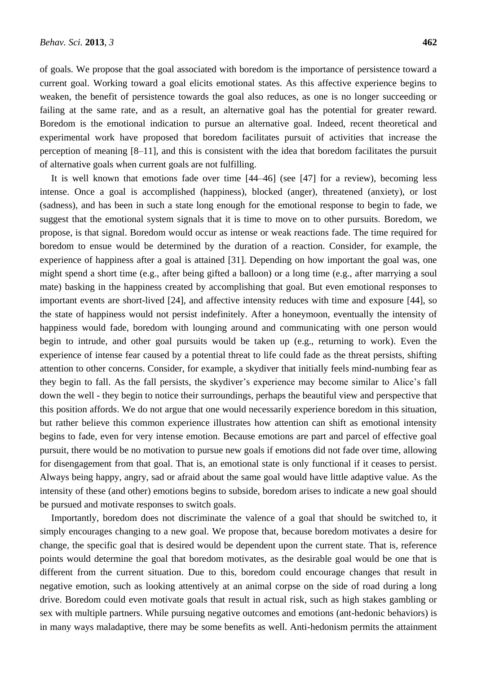of goals. We propose that the goal associated with boredom is the importance of persistence toward a current goal. Working toward a goal elicits emotional states. As this affective experience begins to weaken, the benefit of persistence towards the goal also reduces, as one is no longer succeeding or failing at the same rate, and as a result, an alternative goal has the potential for greater reward. Boredom is the emotional indication to pursue an alternative goal. Indeed, recent theoretical and experimental work have proposed that boredom facilitates pursuit of activities that increase the perception of meaning [8–11], and this is consistent with the idea that boredom facilitates the pursuit of alternative goals when current goals are not fulfilling.

It is well known that emotions fade over time [44–46] (see [47] for a review), becoming less intense. Once a goal is accomplished (happiness), blocked (anger), threatened (anxiety), or lost (sadness), and has been in such a state long enough for the emotional response to begin to fade, we suggest that the emotional system signals that it is time to move on to other pursuits. Boredom, we propose, is that signal. Boredom would occur as intense or weak reactions fade. The time required for boredom to ensue would be determined by the duration of a reaction. Consider, for example, the experience of happiness after a goal is attained [31]. Depending on how important the goal was, one might spend a short time (e.g., after being gifted a balloon) or a long time (e.g., after marrying a soul mate) basking in the happiness created by accomplishing that goal. But even emotional responses to important events are short-lived [24], and affective intensity reduces with time and exposure [44], so the state of happiness would not persist indefinitely. After a honeymoon, eventually the intensity of happiness would fade, boredom with lounging around and communicating with one person would begin to intrude, and other goal pursuits would be taken up (e.g., returning to work). Even the experience of intense fear caused by a potential threat to life could fade as the threat persists, shifting attention to other concerns. Consider, for example, a skydiver that initially feels mind-numbing fear as they begin to fall. As the fall persists, the skydiver's experience may become similar to Alice's fall down the well - they begin to notice their surroundings, perhaps the beautiful view and perspective that this position affords. We do not argue that one would necessarily experience boredom in this situation, but rather believe this common experience illustrates how attention can shift as emotional intensity begins to fade, even for very intense emotion. Because emotions are part and parcel of effective goal pursuit, there would be no motivation to pursue new goals if emotions did not fade over time, allowing for disengagement from that goal. That is, an emotional state is only functional if it ceases to persist. Always being happy, angry, sad or afraid about the same goal would have little adaptive value. As the intensity of these (and other) emotions begins to subside, boredom arises to indicate a new goal should be pursued and motivate responses to switch goals.

Importantly, boredom does not discriminate the valence of a goal that should be switched to, it simply encourages changing to a new goal. We propose that, because boredom motivates a desire for change, the specific goal that is desired would be dependent upon the current state. That is, reference points would determine the goal that boredom motivates, as the desirable goal would be one that is different from the current situation. Due to this, boredom could encourage changes that result in negative emotion, such as looking attentively at an animal corpse on the side of road during a long drive. Boredom could even motivate goals that result in actual risk, such as high stakes gambling or sex with multiple partners. While pursuing negative outcomes and emotions (ant-hedonic behaviors) is in many ways maladaptive, there may be some benefits as well. Anti-hedonism permits the attainment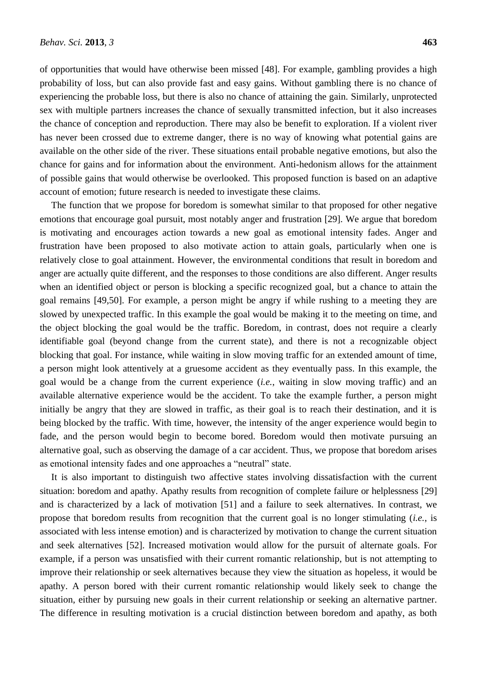of opportunities that would have otherwise been missed [48]. For example, gambling provides a high probability of loss, but can also provide fast and easy gains. Without gambling there is no chance of experiencing the probable loss, but there is also no chance of attaining the gain. Similarly, unprotected sex with multiple partners increases the chance of sexually transmitted infection, but it also increases the chance of conception and reproduction. There may also be benefit to exploration. If a violent river has never been crossed due to extreme danger, there is no way of knowing what potential gains are available on the other side of the river. These situations entail probable negative emotions, but also the chance for gains and for information about the environment. Anti-hedonism allows for the attainment of possible gains that would otherwise be overlooked. This proposed function is based on an adaptive account of emotion; future research is needed to investigate these claims.

The function that we propose for boredom is somewhat similar to that proposed for other negative emotions that encourage goal pursuit, most notably anger and frustration [29]. We argue that boredom is motivating and encourages action towards a new goal as emotional intensity fades. Anger and frustration have been proposed to also motivate action to attain goals, particularly when one is relatively close to goal attainment. However, the environmental conditions that result in boredom and anger are actually quite different, and the responses to those conditions are also different. Anger results when an identified object or person is blocking a specific recognized goal, but a chance to attain the goal remains [49,50]. For example, a person might be angry if while rushing to a meeting they are slowed by unexpected traffic. In this example the goal would be making it to the meeting on time, and the object blocking the goal would be the traffic. Boredom, in contrast, does not require a clearly identifiable goal (beyond change from the current state), and there is not a recognizable object blocking that goal. For instance, while waiting in slow moving traffic for an extended amount of time, a person might look attentively at a gruesome accident as they eventually pass. In this example, the goal would be a change from the current experience (*i.e.*, waiting in slow moving traffic) and an available alternative experience would be the accident. To take the example further, a person might initially be angry that they are slowed in traffic, as their goal is to reach their destination, and it is being blocked by the traffic. With time, however, the intensity of the anger experience would begin to fade, and the person would begin to become bored. Boredom would then motivate pursuing an alternative goal, such as observing the damage of a car accident. Thus, we propose that boredom arises as emotional intensity fades and one approaches a "neutral" state.

It is also important to distinguish two affective states involving dissatisfaction with the current situation: boredom and apathy. Apathy results from recognition of complete failure or helplessness [29] and is characterized by a lack of motivation [51] and a failure to seek alternatives. In contrast, we propose that boredom results from recognition that the current goal is no longer stimulating (*i.e.*, is associated with less intense emotion) and is characterized by motivation to change the current situation and seek alternatives [52]. Increased motivation would allow for the pursuit of alternate goals. For example, if a person was unsatisfied with their current romantic relationship, but is not attempting to improve their relationship or seek alternatives because they view the situation as hopeless, it would be apathy. A person bored with their current romantic relationship would likely seek to change the situation, either by pursuing new goals in their current relationship or seeking an alternative partner. The difference in resulting motivation is a crucial distinction between boredom and apathy, as both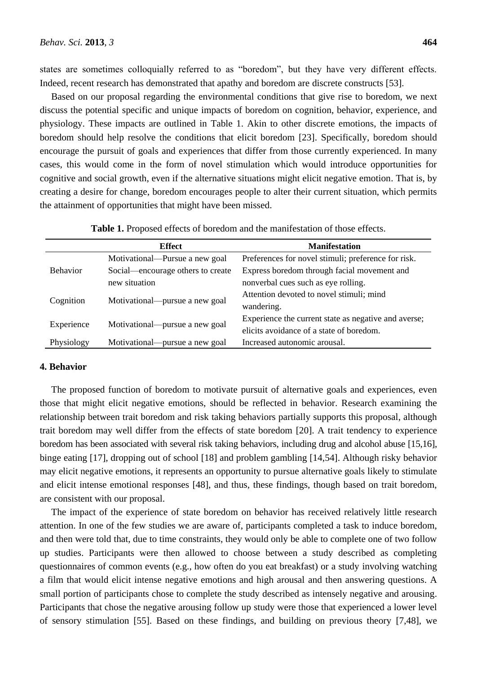states are sometimes colloquially referred to as "boredom", but they have very different effects. Indeed, recent research has demonstrated that apathy and boredom are discrete constructs [53].

Based on our proposal regarding the environmental conditions that give rise to boredom, we next discuss the potential specific and unique impacts of boredom on cognition, behavior, experience, and physiology. These impacts are outlined in Table 1. Akin to other discrete emotions, the impacts of boredom should help resolve the conditions that elicit boredom [23]. Specifically, boredom should encourage the pursuit of goals and experiences that differ from those currently experienced. In many cases, this would come in the form of novel stimulation which would introduce opportunities for cognitive and social growth, even if the alternative situations might elicit negative emotion. That is, by creating a desire for change, boredom encourages people to alter their current situation, which permits the attainment of opportunities that might have been missed.

|                 | <b>Effect</b>                     | <b>Manifestation</b>                                 |
|-----------------|-----------------------------------|------------------------------------------------------|
| <b>Behavior</b> | Motivational—Pursue a new goal    | Preferences for novel stimuli; preference for risk.  |
|                 | Social—encourage others to create | Express boredom through facial movement and          |
|                 | new situation                     | nonverbal cues such as eye rolling.                  |
| Cognition       | Motivational—pursue a new goal    | Attention devoted to novel stimuli; mind             |
|                 |                                   | wandering.                                           |
| Experience      | Motivational—pursue a new goal    | Experience the current state as negative and averse; |
|                 |                                   | elicits avoidance of a state of boredom.             |
| Physiology      | Motivational—pursue a new goal    | Increased autonomic arousal.                         |

#### **4. Behavior**

The proposed function of boredom to motivate pursuit of alternative goals and experiences, even those that might elicit negative emotions, should be reflected in behavior. Research examining the relationship between trait boredom and risk taking behaviors partially supports this proposal, although trait boredom may well differ from the effects of state boredom [20]. A trait tendency to experience boredom has been associated with several risk taking behaviors, including drug and alcohol abuse [15,16], binge eating [17], dropping out of school [18] and problem gambling [14,54]. Although risky behavior may elicit negative emotions, it represents an opportunity to pursue alternative goals likely to stimulate and elicit intense emotional responses [48], and thus, these findings, though based on trait boredom, are consistent with our proposal.

The impact of the experience of state boredom on behavior has received relatively little research attention. In one of the few studies we are aware of, participants completed a task to induce boredom, and then were told that, due to time constraints, they would only be able to complete one of two follow up studies. Participants were then allowed to choose between a study described as completing questionnaires of common events (e.g., how often do you eat breakfast) or a study involving watching a film that would elicit intense negative emotions and high arousal and then answering questions. A small portion of participants chose to complete the study described as intensely negative and arousing. Participants that chose the negative arousing follow up study were those that experienced a lower level of sensory stimulation [55]. Based on these findings, and building on previous theory [7,48], we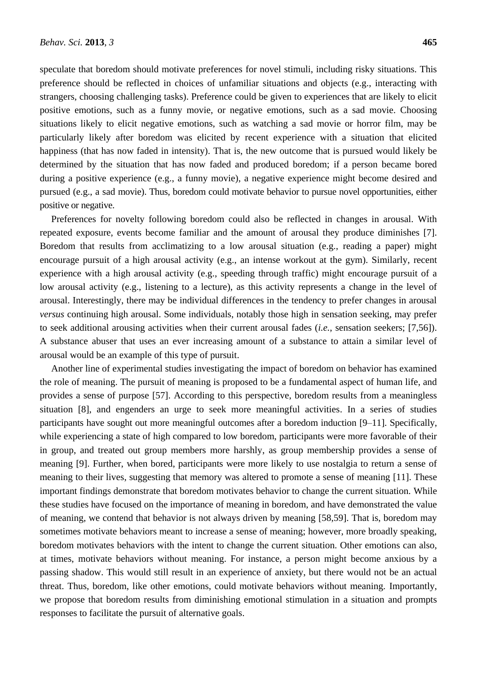speculate that boredom should motivate preferences for novel stimuli, including risky situations. This preference should be reflected in choices of unfamiliar situations and objects (e.g., interacting with strangers, choosing challenging tasks). Preference could be given to experiences that are likely to elicit positive emotions, such as a funny movie, or negative emotions, such as a sad movie. Choosing situations likely to elicit negative emotions, such as watching a sad movie or horror film, may be particularly likely after boredom was elicited by recent experience with a situation that elicited happiness (that has now faded in intensity). That is, the new outcome that is pursued would likely be determined by the situation that has now faded and produced boredom; if a person became bored during a positive experience (e.g., a funny movie), a negative experience might become desired and pursued (e.g., a sad movie). Thus, boredom could motivate behavior to pursue novel opportunities, either positive or negative.

Preferences for novelty following boredom could also be reflected in changes in arousal. With repeated exposure, events become familiar and the amount of arousal they produce diminishes [7]. Boredom that results from acclimatizing to a low arousal situation (e.g., reading a paper) might encourage pursuit of a high arousal activity (e.g., an intense workout at the gym). Similarly, recent experience with a high arousal activity (e.g., speeding through traffic) might encourage pursuit of a low arousal activity (e.g., listening to a lecture), as this activity represents a change in the level of arousal. Interestingly, there may be individual differences in the tendency to prefer changes in arousal *versus* continuing high arousal. Some individuals, notably those high in sensation seeking, may prefer to seek additional arousing activities when their current arousal fades (*i.e.*, sensation seekers; [7,56]). A substance abuser that uses an ever increasing amount of a substance to attain a similar level of arousal would be an example of this type of pursuit.

Another line of experimental studies investigating the impact of boredom on behavior has examined the role of meaning. The pursuit of meaning is proposed to be a fundamental aspect of human life, and provides a sense of purpose [57]. According to this perspective, boredom results from a meaningless situation [8], and engenders an urge to seek more meaningful activities. In a series of studies participants have sought out more meaningful outcomes after a boredom induction [9–11]. Specifically, while experiencing a state of high compared to low boredom, participants were more favorable of their in group, and treated out group members more harshly, as group membership provides a sense of meaning [9]. Further, when bored, participants were more likely to use nostalgia to return a sense of meaning to their lives, suggesting that memory was altered to promote a sense of meaning [11]. These important findings demonstrate that boredom motivates behavior to change the current situation. While these studies have focused on the importance of meaning in boredom, and have demonstrated the value of meaning, we contend that behavior is not always driven by meaning [58,59]. That is, boredom may sometimes motivate behaviors meant to increase a sense of meaning; however, more broadly speaking, boredom motivates behaviors with the intent to change the current situation. Other emotions can also, at times, motivate behaviors without meaning. For instance, a person might become anxious by a passing shadow. This would still result in an experience of anxiety, but there would not be an actual threat. Thus, boredom, like other emotions, could motivate behaviors without meaning. Importantly, we propose that boredom results from diminishing emotional stimulation in a situation and prompts responses to facilitate the pursuit of alternative goals.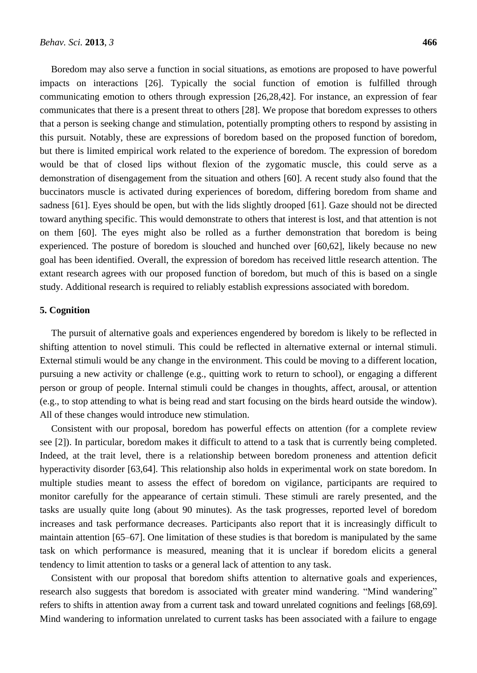Boredom may also serve a function in social situations, as emotions are proposed to have powerful impacts on interactions [26]. Typically the social function of emotion is fulfilled through communicating emotion to others through expression [26,28,42]. For instance, an expression of fear communicates that there is a present threat to others [28]. We propose that boredom expresses to others that a person is seeking change and stimulation, potentially prompting others to respond by assisting in this pursuit. Notably, these are expressions of boredom based on the proposed function of boredom, but there is limited empirical work related to the experience of boredom. The expression of boredom would be that of closed lips without flexion of the zygomatic muscle, this could serve as a demonstration of disengagement from the situation and others [60]. A recent study also found that the buccinators muscle is activated during experiences of boredom, differing boredom from shame and sadness [61]. Eyes should be open, but with the lids slightly drooped [61]. Gaze should not be directed toward anything specific. This would demonstrate to others that interest is lost, and that attention is not on them [60]. The eyes might also be rolled as a further demonstration that boredom is being experienced. The posture of boredom is slouched and hunched over [60,62], likely because no new goal has been identified. Overall, the expression of boredom has received little research attention. The extant research agrees with our proposed function of boredom, but much of this is based on a single study. Additional research is required to reliably establish expressions associated with boredom.

# **5. Cognition**

The pursuit of alternative goals and experiences engendered by boredom is likely to be reflected in shifting attention to novel stimuli. This could be reflected in alternative external or internal stimuli. External stimuli would be any change in the environment. This could be moving to a different location, pursuing a new activity or challenge (e.g., quitting work to return to school), or engaging a different person or group of people. Internal stimuli could be changes in thoughts, affect, arousal, or attention (e.g., to stop attending to what is being read and start focusing on the birds heard outside the window). All of these changes would introduce new stimulation.

Consistent with our proposal, boredom has powerful effects on attention (for a complete review see [2]). In particular, boredom makes it difficult to attend to a task that is currently being completed. Indeed, at the trait level, there is a relationship between boredom proneness and attention deficit hyperactivity disorder [63,64]. This relationship also holds in experimental work on state boredom. In multiple studies meant to assess the effect of boredom on vigilance, participants are required to monitor carefully for the appearance of certain stimuli. These stimuli are rarely presented, and the tasks are usually quite long (about 90 minutes). As the task progresses, reported level of boredom increases and task performance decreases. Participants also report that it is increasingly difficult to maintain attention [65–67]. One limitation of these studies is that boredom is manipulated by the same task on which performance is measured, meaning that it is unclear if boredom elicits a general tendency to limit attention to tasks or a general lack of attention to any task.

Consistent with our proposal that boredom shifts attention to alternative goals and experiences, research also suggests that boredom is associated with greater mind wandering. "Mind wandering" refers to shifts in attention away from a current task and toward unrelated cognitions and feelings [68,69]. Mind wandering to information unrelated to current tasks has been associated with a failure to engage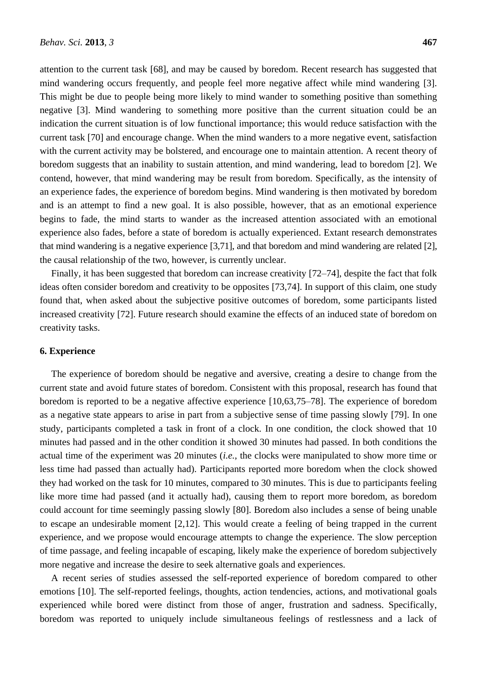attention to the current task [68], and may be caused by boredom. Recent research has suggested that mind wandering occurs frequently, and people feel more negative affect while mind wandering [3]. This might be due to people being more likely to mind wander to something positive than something negative [3]. Mind wandering to something more positive than the current situation could be an indication the current situation is of low functional importance; this would reduce satisfaction with the current task [70] and encourage change. When the mind wanders to a more negative event, satisfaction with the current activity may be bolstered, and encourage one to maintain attention. A recent theory of boredom suggests that an inability to sustain attention, and mind wandering, lead to boredom [2]. We contend, however, that mind wandering may be result from boredom. Specifically, as the intensity of an experience fades, the experience of boredom begins. Mind wandering is then motivated by boredom and is an attempt to find a new goal. It is also possible, however, that as an emotional experience begins to fade, the mind starts to wander as the increased attention associated with an emotional experience also fades, before a state of boredom is actually experienced. Extant research demonstrates that mind wandering is a negative experience [3,71], and that boredom and mind wandering are related [2], the causal relationship of the two, however, is currently unclear.

Finally, it has been suggested that boredom can increase creativity [72–74], despite the fact that folk ideas often consider boredom and creativity to be opposites [73,74]. In support of this claim, one study found that, when asked about the subjective positive outcomes of boredom, some participants listed increased creativity [72]. Future research should examine the effects of an induced state of boredom on creativity tasks.

#### **6. Experience**

The experience of boredom should be negative and aversive, creating a desire to change from the current state and avoid future states of boredom. Consistent with this proposal, research has found that boredom is reported to be a negative affective experience [10,63,75–78]. The experience of boredom as a negative state appears to arise in part from a subjective sense of time passing slowly [79]. In one study, participants completed a task in front of a clock. In one condition, the clock showed that 10 minutes had passed and in the other condition it showed 30 minutes had passed. In both conditions the actual time of the experiment was 20 minutes (*i.e.*, the clocks were manipulated to show more time or less time had passed than actually had). Participants reported more boredom when the clock showed they had worked on the task for 10 minutes, compared to 30 minutes. This is due to participants feeling like more time had passed (and it actually had), causing them to report more boredom, as boredom could account for time seemingly passing slowly [80]. Boredom also includes a sense of being unable to escape an undesirable moment [2,12]. This would create a feeling of being trapped in the current experience, and we propose would encourage attempts to change the experience. The slow perception of time passage, and feeling incapable of escaping, likely make the experience of boredom subjectively more negative and increase the desire to seek alternative goals and experiences.

A recent series of studies assessed the self-reported experience of boredom compared to other emotions [10]. The self-reported feelings, thoughts, action tendencies, actions, and motivational goals experienced while bored were distinct from those of anger, frustration and sadness. Specifically, boredom was reported to uniquely include simultaneous feelings of restlessness and a lack of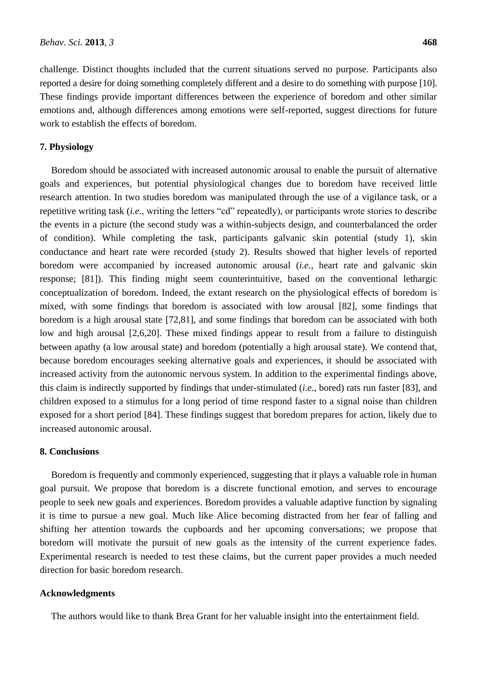challenge. Distinct thoughts included that the current situations served no purpose. Participants also reported a desire for doing something completely different and a desire to do something with purpose [10]. These findings provide important differences between the experience of boredom and other similar emotions and, although differences among emotions were self-reported, suggest directions for future work to establish the effects of boredom.

### **7. Physiology**

Boredom should be associated with increased autonomic arousal to enable the pursuit of alternative goals and experiences, but potential physiological changes due to boredom have received little research attention. In two studies boredom was manipulated through the use of a vigilance task, or a repetitive writing task (*i.e.*, writing the letters "cd" repeatedly), or participants wrote stories to describe the events in a picture (the second study was a within-subjects design, and counterbalanced the order of condition). While completing the task, participants galvanic skin potential (study 1), skin conductance and heart rate were recorded (study 2). Results showed that higher levels of reported boredom were accompanied by increased autonomic arousal (*i.e.*, heart rate and galvanic skin response; [81]). This finding might seem counterintuitive, based on the conventional lethargic conceptualization of boredom. Indeed, the extant research on the physiological effects of boredom is mixed, with some findings that boredom is associated with low arousal [82], some findings that boredom is a high arousal state [72,81], and some findings that boredom can be associated with both low and high arousal [2,6,20]. These mixed findings appear to result from a failure to distinguish between apathy (a low arousal state) and boredom (potentially a high arousal state). We contend that, because boredom encourages seeking alternative goals and experiences, it should be associated with increased activity from the autonomic nervous system. In addition to the experimental findings above, this claim is indirectly supported by findings that under-stimulated (*i.e.*, bored) rats run faster [83], and children exposed to a stimulus for a long period of time respond faster to a signal noise than children exposed for a short period [84]. These findings suggest that boredom prepares for action, likely due to increased autonomic arousal.

## **8. Conclusions**

Boredom is frequently and commonly experienced, suggesting that it plays a valuable role in human goal pursuit. We propose that boredom is a discrete functional emotion, and serves to encourage people to seek new goals and experiences. Boredom provides a valuable adaptive function by signaling it is time to pursue a new goal. Much like Alice becoming distracted from her fear of falling and shifting her attention towards the cupboards and her upcoming conversations; we propose that boredom will motivate the pursuit of new goals as the intensity of the current experience fades. Experimental research is needed to test these claims, but the current paper provides a much needed direction for basic boredom research.

#### **Acknowledgments**

The authors would like to thank Brea Grant for her valuable insight into the entertainment field.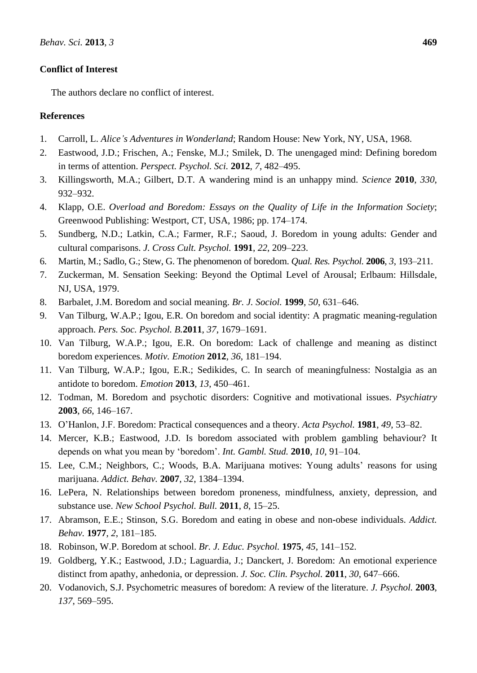# **Conflict of Interest**

The authors declare no conflict of interest.

# **References**

- 1. Carroll, L. *Alice's Adventures in Wonderland*; Random House: New York, NY, USA, 1968.
- 2. Eastwood, J.D.; Frischen, A.; Fenske, M.J.; Smilek, D. The unengaged mind: Defining boredom in terms of attention. *Perspect. Psychol. Sci.* **2012**, *7*, 482–495.
- 3. Killingsworth, M.A.; Gilbert, D.T. A wandering mind is an unhappy mind. *Science* **2010**, *330*, 932–932.
- 4. Klapp, O.E. *Overload and Boredom: Essays on the Quality of Life in the Information Society*; Greenwood Publishing: Westport, CT, USA, 1986; pp. 174–174.
- 5. Sundberg, N.D.; Latkin, C.A.; Farmer, R.F.; Saoud, J. Boredom in young adults: Gender and cultural comparisons. *J. Cross Cult. Psychol.* **1991**, *22*, 209–223.
- 6. Martin, M.; Sadlo, G.; Stew, G. The phenomenon of boredom. *Qual. Res. Psychol.* **2006**, *3*, 193–211.
- 7. Zuckerman, M. Sensation Seeking: Beyond the Optimal Level of Arousal; Erlbaum: Hillsdale, NJ, USA, 1979.
- 8. Barbalet, J.M. Boredom and social meaning. *Br. J. Sociol.* **1999**, *50*, 631–646.
- 9. Van Tilburg, W.A.P.; Igou, E.R. On boredom and social identity: A pragmatic meaning-regulation approach. *Pers. Soc. Psychol. B.***2011**, *37*, 1679–1691.
- 10. Van Tilburg, W.A.P.; Igou, E.R. On boredom: Lack of challenge and meaning as distinct boredom experiences. *Motiv. Emotion* **2012**, *36*, 181–194.
- 11. Van Tilburg, W.A.P.; Igou, E.R.; Sedikides, C. In search of meaningfulness: Nostalgia as an antidote to boredom. *Emotion* **2013**, *13*, 450–461.
- 12. Todman, M. Boredom and psychotic disorders: Cognitive and motivational issues. *Psychiatry*  **2003**, *66*, 146–167.
- 13. O'Hanlon, J.F. Boredom: Practical consequences and a theory. *Acta Psychol.* **1981**, *49*, 53–82.
- 14. Mercer, K.B.; Eastwood, J.D. Is boredom associated with problem gambling behaviour? It depends on what you mean by ‗boredom'. *Int. Gambl. Stud.* **2010**, *10*, 91–104.
- 15. Lee, C.M.; Neighbors, C.; Woods, B.A. Marijuana motives: Young adults' reasons for using marijuana. *Addict. Behav.* **2007**, *32*, 1384–1394.
- 16. LePera, N. Relationships between boredom proneness, mindfulness, anxiety, depression, and substance use. *New School Psychol. Bull.* **2011**, *8*, 15–25.
- 17. Abramson, E.E.; Stinson, S.G. Boredom and eating in obese and non-obese individuals. *Addict. Behav.* **1977**, *2*, 181–185.
- 18. Robinson, W.P. Boredom at school. *Br. J. Educ. Psychol.* **1975**, *45*, 141–152.
- 19. Goldberg, Y.K.; Eastwood, J.D.; Laguardia, J.; Danckert, J. Boredom: An emotional experience distinct from apathy, anhedonia, or depression. *J. Soc. Clin. Psychol.* **2011**, *30*, 647–666.
- 20. Vodanovich, S.J. Psychometric measures of boredom: A review of the literature. *J. Psychol.* **2003**, *137*, 569–595.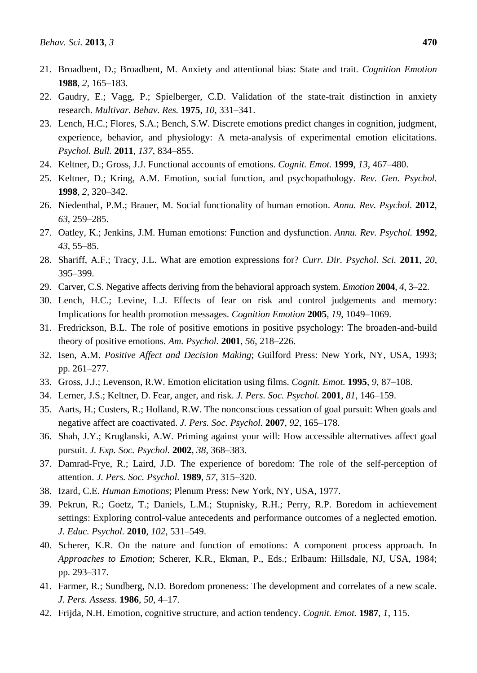- 21. Broadbent, D.; Broadbent, M. Anxiety and attentional bias: State and trait. *Cognition Emotion* **1988**, *2*, 165–183.
- 22. Gaudry, E.; Vagg, P.; Spielberger, C.D. Validation of the state-trait distinction in anxiety research. *Multivar. Behav. Res.* **1975**, *10*, 331–341.
- 23. Lench, H.C.; Flores, S.A.; Bench, S.W. Discrete emotions predict changes in cognition, judgment, experience, behavior, and physiology: A meta-analysis of experimental emotion elicitations. *Psychol. Bull.* **2011**, *137*, 834–855.
- 24. Keltner, D.; Gross, J.J. Functional accounts of emotions. *Cognit. Emot.* **1999**, *13*, 467–480.
- 25. Keltner, D.; Kring, A.M. Emotion, social function, and psychopathology. *Rev. Gen. Psychol.*  **1998**, *2*, 320–342.
- 26. Niedenthal, P.M.; Brauer, M. Social functionality of human emotion. *Annu. Rev. Psychol.* **2012**, *63*, 259–285.
- 27. Oatley, K.; Jenkins, J.M. Human emotions: Function and dysfunction. *Annu. Rev. Psychol.* **1992**, *43*, 55–85.
- 28. Shariff, A.F.; Tracy, J.L. What are emotion expressions for? *Curr. Dir. Psychol. Sci.* **2011**, *20*, 395–399.
- 29. Carver, C.S. Negative affects deriving from the behavioral approach system. *Emotion* **2004**, *4*, 3–22.
- 30. Lench, H.C.; Levine, L.J. Effects of fear on risk and control judgements and memory: Implications for health promotion messages. *Cognition Emotion* **2005**, *19*, 1049–1069.
- 31. Fredrickson, B.L. The role of positive emotions in positive psychology: The broaden-and-build theory of positive emotions. *Am. Psychol.* **2001**, *56*, 218–226.
- 32. Isen, A.M. *Positive Affect and Decision Making*; Guilford Press: New York, NY, USA, 1993; pp. 261–277.
- 33. Gross, J.J.; Levenson, R.W. Emotion elicitation using films. *Cognit. Emot.* **1995**, *9*, 87–108.
- 34. Lerner, J.S.; Keltner, D. Fear, anger, and risk. *J. Pers. Soc. Psychol.* **2001**, *81*, 146–159.
- 35. Aarts, H.; Custers, R.; Holland, R.W. The nonconscious cessation of goal pursuit: When goals and negative affect are coactivated. *J. Pers. Soc. Psychol.* **2007**, *92*, 165–178.
- 36. Shah, J.Y.; Kruglanski, A.W. Priming against your will: How accessible alternatives affect goal pursuit. *J. Exp. Soc. Psychol.* **2002**, *38*, 368–383.
- 37. Damrad-Frye, R.; Laird, J.D. The experience of boredom: The role of the self-perception of attention. *J. Pers. Soc. Psychol.* **1989**, *57*, 315–320.
- 38. Izard, C.E. *Human Emotions*; Plenum Press: New York, NY, USA, 1977.
- 39. Pekrun, R.; Goetz, T.; Daniels, L.M.; Stupnisky, R.H.; Perry, R.P. Boredom in achievement settings: Exploring control-value antecedents and performance outcomes of a neglected emotion. *J. Educ. Psychol.* **2010**, *102*, 531–549.
- 40. Scherer, K.R. On the nature and function of emotions: A component process approach. In *Approaches to Emotion*; Scherer, K.R., Ekman, P., Eds.; Erlbaum: Hillsdale, NJ, USA, 1984; pp. 293–317.
- 41. Farmer, R.; Sundberg, N.D. Boredom proneness: The development and correlates of a new scale. *J. Pers. Assess.* **1986**, *50*, 4–17.
- 42. Frijda, N.H. Emotion, cognitive structure, and action tendency. *Cognit. Emot.* **1987**, *1*, 115.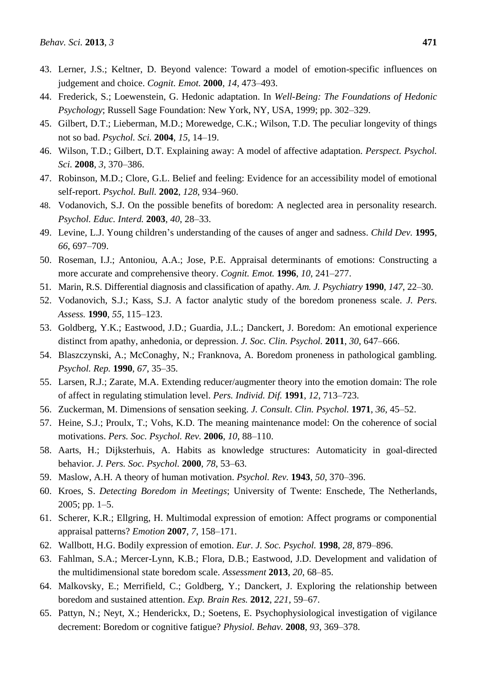- 44. Frederick, S.; Loewenstein, G. Hedonic adaptation. In *Well-Being: The Foundations of Hedonic Psychology*; Russell Sage Foundation: New York, NY, USA, 1999; pp. 302–329.
- 45. Gilbert, D.T.; Lieberman, M.D.; Morewedge, C.K.; Wilson, T.D. The peculiar longevity of things not so bad. *Psychol. Sci.* **2004**, *15*, 14–19.
- 46. Wilson, T.D.; Gilbert, D.T. Explaining away: A model of affective adaptation. *Perspect. Psychol. Sci.* **2008**, *3*, 370–386.
- 47. Robinson, M.D.; Clore, G.L. Belief and feeling: Evidence for an accessibility model of emotional self-report. *Psychol. Bull.* **2002**, *128*, 934–960.
- 48. Vodanovich, S.J. On the possible benefits of boredom: A neglected area in personality research. *Psychol. Educ. Interd.* **2003**, *40*, 28–33.
- 49. Levine, L.J. Young children's understanding of the causes of anger and sadness. *Child Dev.* **1995**, *66*, 697–709.
- 50. Roseman, I.J.; Antoniou, A.A.; Jose, P.E. Appraisal determinants of emotions: Constructing a more accurate and comprehensive theory. *Cognit. Emot.* **1996**, *10*, 241–277.
- 51. Marin, R.S. Differential diagnosis and classification of apathy. *Am. J. Psychiatry* **1990**, *147*, 22–30.
- 52. Vodanovich, S.J.; Kass, S.J. A factor analytic study of the boredom proneness scale. *J. Pers. Assess.* **1990**, *55*, 115–123.
- 53. Goldberg, Y.K.; Eastwood, J.D.; Guardia, J.L.; Danckert, J. Boredom: An emotional experience distinct from apathy, anhedonia, or depression. *J. Soc. Clin. Psychol.* **2011**, *30*, 647–666.
- 54. Blaszczynski, A.; McConaghy, N.; Franknova, A. Boredom proneness in pathological gambling. *Psychol. Rep.* **1990**, *67*, 35–35.
- 55. Larsen, R.J.; Zarate, M.A. Extending reducer/augmenter theory into the emotion domain: The role of affect in regulating stimulation level. *Pers. Individ. Dif.* **1991**, *12*, 713–723.
- 56. Zuckerman, M. Dimensions of sensation seeking. *J. Consult. Clin. Psychol.* **1971**, *36*, 45–52.
- 57. Heine, S.J.; Proulx, T.; Vohs, K.D. The meaning maintenance model: On the coherence of social motivations. *Pers. Soc. Psychol. Rev.* **2006**, *10*, 88–110.
- 58. Aarts, H.; Dijksterhuis, A. Habits as knowledge structures: Automaticity in goal-directed behavior. *J. Pers. Soc. Psychol.* **2000**, *78*, 53–63.
- 59. Maslow, A.H. A theory of human motivation. *Psychol. Rev.* **1943**, *50*, 370–396.
- 60. Kroes, S. *Detecting Boredom in Meetings*; University of Twente: Enschede, The Netherlands, 2005; pp. 1–5.
- 61. Scherer, K.R.; Ellgring, H. Multimodal expression of emotion: Affect programs or componential appraisal patterns? *Emotion* **2007**, *7*, 158–171.
- 62. Wallbott, H.G. Bodily expression of emotion. *Eur. J. Soc. Psychol.* **1998**, *28*, 879–896.
- 63. Fahlman, S.A.; Mercer-Lynn, K.B.; Flora, D.B.; Eastwood, J.D. Development and validation of the multidimensional state boredom scale. *Assessment* **2013**, *20*, 68–85.
- 64. Malkovsky, E.; Merrifield, C.; Goldberg, Y.; Danckert, J. Exploring the relationship between boredom and sustained attention. *Exp. Brain Res.* **2012**, *221*, 59–67.
- 65. Pattyn, N.; Neyt, X.; Henderickx, D.; Soetens, E. Psychophysiological investigation of vigilance decrement: Boredom or cognitive fatigue? *Physiol. Behav.* **2008**, *93*, 369–378.